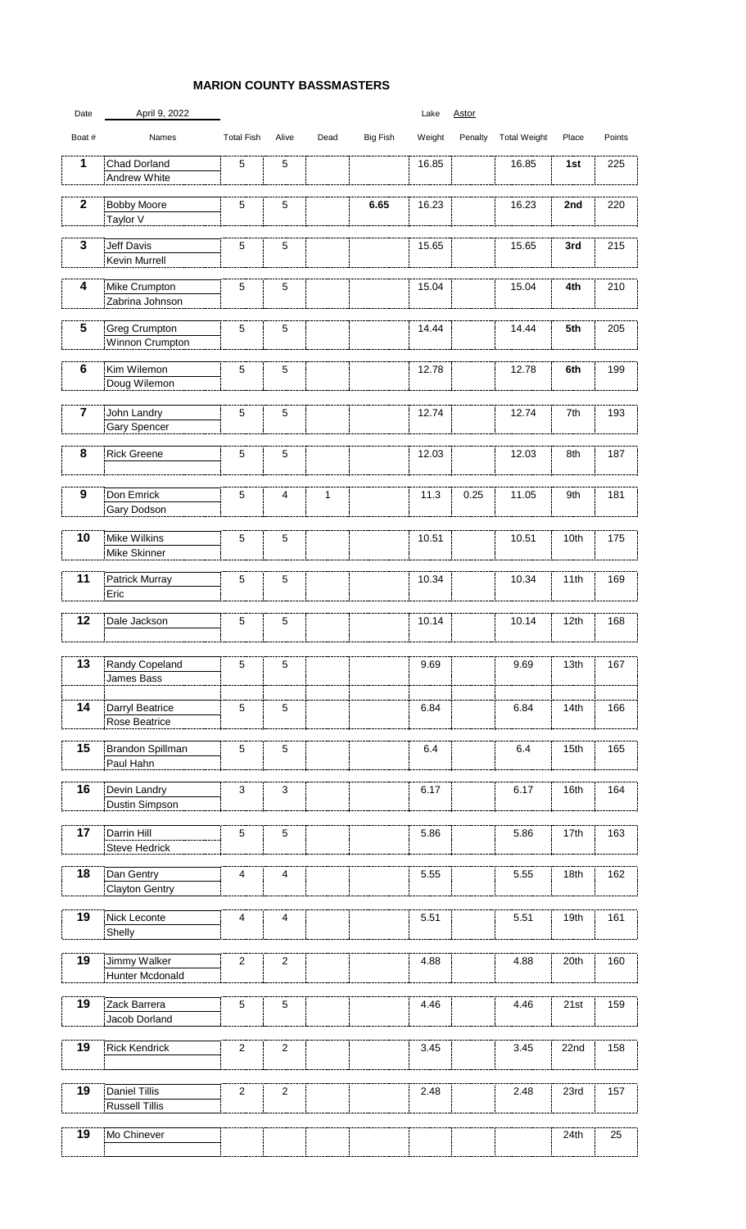## **MARION COUNTY BASSMASTERS**

| Date                    | April 9, 2022                                  |                   |                 |      |                 | Lake   | <b>Astor</b> |                     |                  |        |
|-------------------------|------------------------------------------------|-------------------|-----------------|------|-----------------|--------|--------------|---------------------|------------------|--------|
| Boat #                  | Names                                          | <b>Total Fish</b> | Alive           | Dead | <b>Big Fish</b> | Weight | Penalty      | <b>Total Weight</b> | Place            | Points |
| 1                       | <b>Chad Dorland</b><br><b>Andrew White</b>     | 5                 | $\overline{5}$  |      |                 | 16.85  |              | 16.85               | 1st              | 225    |
| $\mathbf{2}$            | <b>Bobby Moore</b><br>Taylor V                 | $5\phantom{.0}$   | 5               |      | 6.65            | 16.23  |              | 16.23               | 2nd              | 220    |
| $\mathbf{3}$            | <b>Jeff Davis</b><br><b>Kevin Murrell</b>      | $5\phantom{.0}$   | $\overline{5}$  |      |                 | 15.65  |              | 15.65               | 3rd              | 215    |
| 4                       | Mike Crumpton<br>Zabrina Johnson               | $5\phantom{.0}$   | $\overline{5}$  |      |                 | 15.04  |              | 15.04               | 4th              | 210    |
| 5                       | <b>Greg Crumpton</b><br><b>Winnon Crumpton</b> | $5\phantom{.0}$   | $\overline{5}$  |      |                 | 14.44  |              | 14.44               | 5th              | 205    |
| 6                       | Kim Wilemon<br>Doug Wilemon                    | 5                 | $\overline{5}$  |      |                 | 12.78  |              | 12.78               | 6th              | 199    |
| $\overline{\mathbf{7}}$ | John Landry<br><b>Gary Spencer</b>             | $5\phantom{.0}$   | 5               |      |                 | 12.74  |              | 12.74               | 7th              | 193    |
| 8                       | <b>Rick Greene</b>                             | 5                 | 5               |      |                 | 12.03  |              | 12.03               | 8th              | 187    |
| 9                       | Don Emrick<br><b>Gary Dodson</b>               | 5                 | $\overline{4}$  | 1    |                 | 11.3   | 0.25         | 11.05               | 9th              | 181    |
| 10                      | Mike Wilkins<br>Mike Skinner                   | $5\phantom{.0}$   | 5               |      |                 | 10.51  |              | 10.51               | 10th             | 175    |
| 11                      | Patrick Murray<br>Eric                         | $5\phantom{.0}$   | 5               |      |                 | 10.34  |              | 10.34               | 11th             | 169    |
| 12                      | Dale Jackson                                   | $\overline{5}$    | $\overline{5}$  |      |                 | 10.14  |              | 10.14               | 12 <sub>th</sub> | 168    |
| 13                      | <b>Randy Copeland</b><br>James Bass            | $5\phantom{.0}$   | 5               |      |                 | 9.69   |              | 9.69                | 13 <sub>th</sub> | 167    |
| 14                      | Darryl Beatrice<br><b>Rose Beatrice</b>        | 5                 | $5\phantom{.0}$ |      |                 | 6.84   |              | 6.84                | 14th             | 166    |
| 15                      | Brandon Spillman<br>Paul Hahn                  | $5\phantom{.0}$   | $5\phantom{1}$  |      |                 | 6.4    |              | 6.4                 | 15 <sub>th</sub> | 165    |
| 16                      | Devin Landry<br>Dustin Simpson                 | 3                 | $\mathfrak{S}$  |      |                 | 6.17   |              | 6.17                | 16th             | 164    |
| 17                      | Darrin Hill<br><b>Steve Hedrick</b>            | $5\phantom{.0}$   | $\overline{5}$  |      |                 | 5.86   |              | 5.86                | 17th             | 163    |
| 18                      | Dan Gentry<br><b>Clayton Gentry</b>            | 4                 | 4               |      |                 | 5.55   |              | 5.55                | 18th             | 162    |
| 19                      | Nick Leconte<br>Shelly                         | 4                 | $\overline{4}$  |      |                 | 5.51   |              | 5.51                | 19 <sub>th</sub> | 161    |
| 19                      | Jimmy Walker<br>Hunter Mcdonald                | 2                 | $\overline{2}$  |      |                 | 4.88   |              | 4.88                | 20th             | 160    |
| 19                      | Zack Barrera<br>Jacob Dorland                  | $\overline{5}$    | $\overline{5}$  |      |                 | 4.46   |              | 4.46                | 21st             | 159    |
| 19                      | <b>Rick Kendrick</b>                           | 2                 | $\overline{2}$  |      |                 | 3.45   |              | 3.45                | 22nd             | 158    |
| 19                      | <b>Daniel Tillis</b><br><b>Russell Tillis</b>  | $\overline{2}$    | $\overline{2}$  |      |                 | 2.48   |              | 2.48                | 23rd             | 157    |
| 19                      | Mo Chinever                                    |                   |                 |      |                 |        |              |                     | 24th             | 25     |